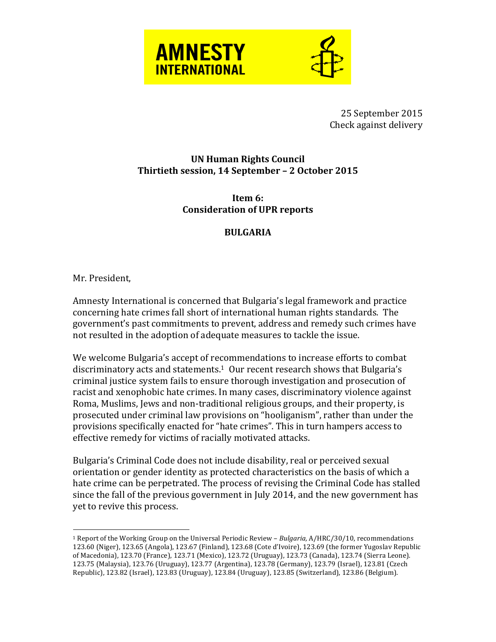



25 September 2015 Check against delivery

## **UN Human Rights Council** Thirtieth session, 14 September - 2 October 2015

**Item 6: Consideration of UPR reports**

## **BULGARIA**

Mr. President,

 $\overline{a}$ 

Amnesty International is concerned that Bulgaria's legal framework and practice concerning hate crimes fall short of international human rights standards. The government's past commitments to prevent, address and remedy such crimes have not resulted in the adoption of adequate measures to tackle the issue.

We welcome Bulgaria's accept of recommendations to increase efforts to combat discriminatory acts and statements.<sup>1</sup> Our recent research shows that Bulgaria's criminal justice system fails to ensure thorough investigation and prosecution of racist and xenophobic hate crimes. In many cases, discriminatory violence against Roma, Muslims, Jews and non-traditional religious groups, and their property, is prosecuted under criminal law provisions on "hooliganism", rather than under the provisions specifically enacted for "hate crimes". This in turn hampers access to effective remedy for victims of racially motivated attacks.

Bulgaria's Criminal Code does not include disability, real or perceived sexual orientation or gender identity as protected characteristics on the basis of which a hate crime can be perpetrated. The process of revising the Criminal Code has stalled since the fall of the previous government in July 2014, and the new government has yet to revive this process.

<sup>&</sup>lt;sup>1</sup> Report of the Working Group on the Universal Periodic Review - *Bulgaria,* A/HRC/30/10, recommendations 123.60 (Niger), 123.65 (Angola), 123.67 (Finland), 123.68 (Cote d'Ivoire), 123.69 (the former Yugoslav Republic of Macedonia), 123.70 (France), 123.71 (Mexico), 123.72 (Uruguay), 123.73 (Canada), 123.74 (Sierra Leone). 123.75 (Malaysia), 123.76 (Uruguay), 123.77 (Argentina), 123.78 (Germany), 123.79 (Israel), 123.81 (Czech Republic), 123.82 (Israel), 123.83 (Uruguay), 123.84 (Uruguay), 123.85 (Switzerland), 123.86 (Belgium).